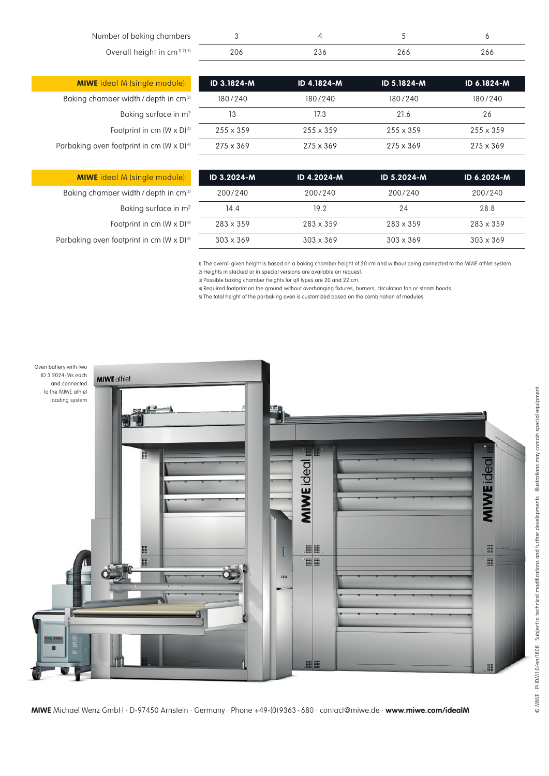Number of baking chambers Overall height in cm<sup>11 21 51</sup>

| 206 |  |  |
|-----|--|--|

| <b>MIWE</b> ideal M (single module)                         |
|-------------------------------------------------------------|
| Baking chamber width / depth in cm <sup>31</sup>            |
| Baking surface in $m^2$                                     |
| Footprint in cm $(W \times D)^{4}$                          |
| Parbaking oven footprint in cm (W $\times$ D) <sup>4)</sup> |
|                                                             |

| ID 3.1824-M      | ID 4.1824-M      | ID 5.1824-M      | <b>ID 6.1824-M</b> |
|------------------|------------------|------------------|--------------------|
| 180/240          | 180/240          | 180/240          | 180/240            |
| 13               | 17.3             | 21.6             | 26                 |
| $255 \times 359$ | $255 \times 359$ | $255 \times 359$ | $255 \times 359$   |
| $275 \times 369$ | $275 \times 369$ | $275 \times 369$ | $275 \times 369$   |

| <b>MIWE</b> ideal M (single module)               | ID 3.2024-M      | ID 4.2024-M      | ID 5.2024-M      | ID 6.2024-M      |
|---------------------------------------------------|------------------|------------------|------------------|------------------|
| Baking chamber width / depth in cm <sup>31</sup>  | 200/240          | 200/240          | 200/240          | 200/240          |
| Baking surface in m <sup>2</sup>                  | 14.4             | 19.2             | 24               | 28.8             |
| Footprint in cm $(W \times D)^{4}$                | $283 \times 359$ | $283 \times 359$ | 283 x 359        | $283 \times 359$ |
| Parbaking oven footprint in cm $(W \times D)^{4}$ | $303 \times 369$ | $303 \times 369$ | $303 \times 369$ | $303 \times 369$ |
|                                                   |                  |                  |                  |                  |

1) The overall given height is based on a baking chamber height of 20 cm and without being connected to the MIWE athlet system. Heights in stacked or in special versions are available on request. 2)

Possible baking chamber heights for all types are 20 and 22 cm. 3)

4) Required footprint on the ground without overhanging fixtures, burners, circulation fan or steam hoods.

The total height of the parbaking oven is customized based on the combination of modules. 5)



**MIWE** Michael Wenz GmbH · D-97450 Arnstein · Germany · Phone +49-(0) 9363 - 680 · contact@miwe.de · **www.miwe.com/idealM**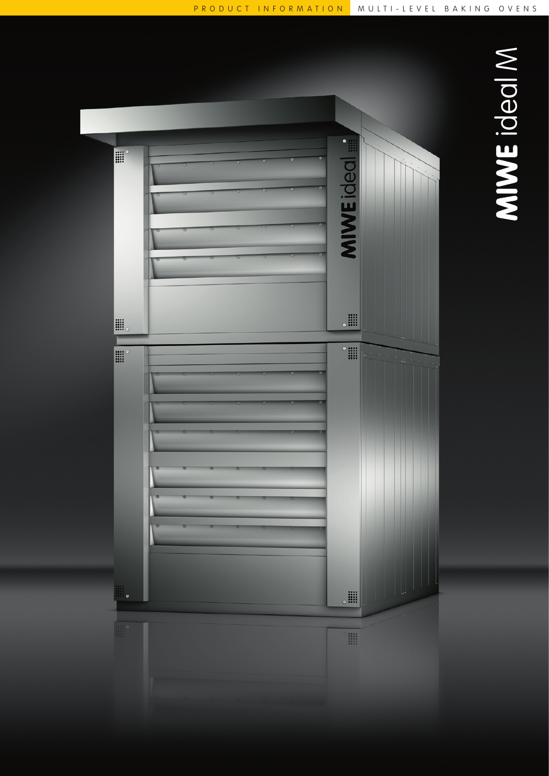

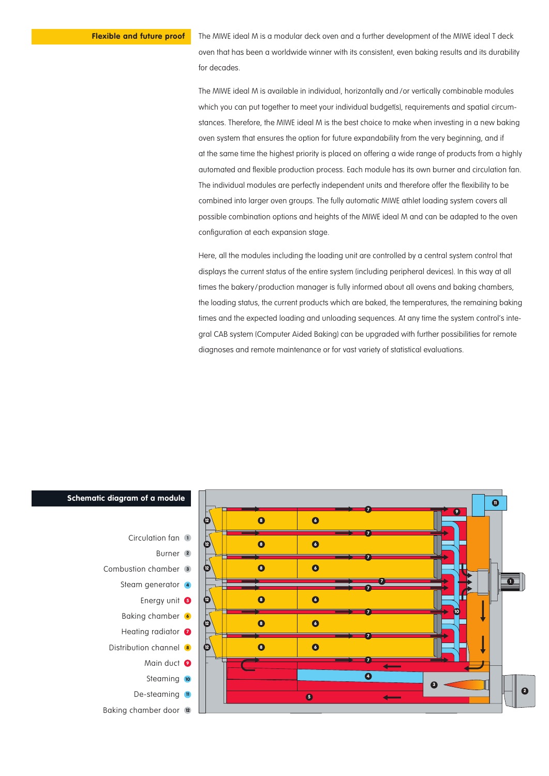The MIWE ideal M is a modular deck oven and a further development of the MIWE ideal T deck oven that has been a worldwide winner with its consistent, even baking results and its durability for decades.

The MIWE ideal M is available in individual, horizontally and /or vertically combinable modules which you can put together to meet your individual budget(s), requirements and spatial circumstances. Therefore, the MIWE ideal M is the best choice to make when investing in a new baking oven system that ensures the option for future expandability from the very beginning, and if at the same time the highest priority is placed on offering a wide range of products from a highly automated and flexible production process. Each module has its own burner and circulation fan. The individual modules are perfectly independent units and therefore offer the flexibility to be combined into larger oven groups. The fully automatic MIWE athlet loading system covers all possible combination options and heights of the MIWE ideal M and can be adapted to the oven configuration at each expansion stage.

Here, all the modules including the loading unit are controlled by a central system control that displays the current status of the entire system (including peripheral devices). In this way at all times the bakery/production manager is fully informed about all ovens and baking chambers, the loading status, the current products which are baked, the temperatures, the remaining baking times and the expected loading and unloading sequences. At any time the system control's integral CAB system (Computer Aided Baking) can be upgraded with further possibilities for remote diagnoses and remote maintenance or for vast variety of statistical evaluations.